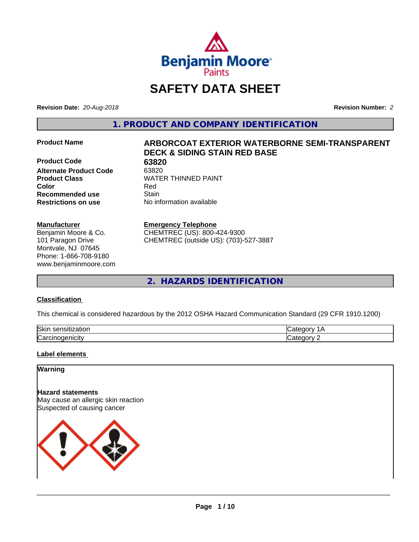

# **SAFETY DATA SHEET**

**Revision Date:** *20-Aug-2018* **Revision Number:** *2*

**1. PRODUCT AND COMPANY IDENTIFICATION**

**Product Code** 63820<br> **Alternate Product Code** 63820 **Alternate Product Code Recommended use Stain Restrictions on use** No information available

# **Manufacturer**

Benjamin Moore & Co. 101 Paragon Drive Montvale, NJ 07645 Phone: 1-866-708-9180 www.benjaminmoore.com

# **Product Name ARBORCOAT EXTERIOR WATERBORNE SEMI-TRANSPARENT DECK & SIDING STAIN RED BASE**

**Product Class WATER THINNED PAINT Color** Red

# **Emergency Telephone**

CHEMTREC (US): 800-424-9300 CHEMTREC (outside US): (703)-527-3887

**2. HAZARDS IDENTIFICATION**

# **Classification**

This chemical is considered hazardous by the 2012 OSHA Hazard Communication Standard (29 CFR 1910.1200)

| <b>Skir</b><br>- - - -<br>-----<br>.<br>uor<br>ייי |      |
|----------------------------------------------------|------|
| ⌒<br>. . <b></b> .<br>------<br>ar′.<br>           | ---- |

# **Label elements**

# **Warning**

**Hazard statements** May cause an allergic skin reaction Suspected of causing cancer

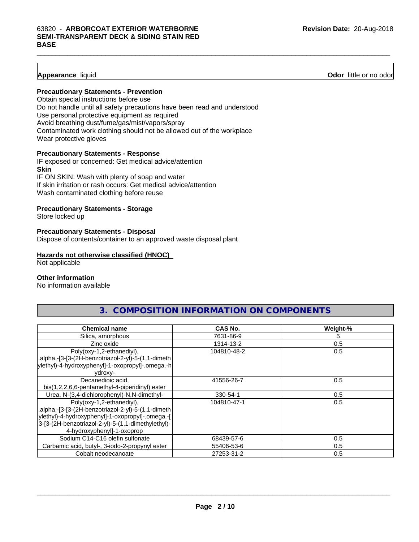# **Appearance** liquid **Odor 11** and **Odor 11** and **Odor 11** and **Odor 11** and **Odor 11** and **Odor 11** and **Odor** 11 and **Odor** 11 and **Odor** 11 and **Odor** 11 and **Odor** 11 and **Odor** 11 and **Odor** 11 and **Odor** 11 and **Odor**

# **Precautionary Statements - Prevention**

Obtain special instructions before use Do not handle until all safety precautions have been read and understood Use personal protective equipment as required Avoid breathing dust/fume/gas/mist/vapors/spray Contaminated work clothing should not be allowed out of the workplace Wear protective gloves

#### **Precautionary Statements - Response**

IF exposed or concerned: Get medical advice/attention **Skin** IF ON SKIN: Wash with plenty of soap and water

If skin irritation or rash occurs: Get medical advice/attention Wash contaminated clothing before reuse

# **Precautionary Statements - Storage**

Store locked up

#### **Precautionary Statements - Disposal**

Dispose of contents/container to an approved waste disposal plant

#### **Hazards not otherwise classified (HNOC)**

Not applicable

# **Other information**

No information available

# **3. COMPOSITION INFORMATION ON COMPONENTS**

| <b>Chemical name</b>                               | <b>CAS No.</b> | Weight-% |
|----------------------------------------------------|----------------|----------|
| Silica, amorphous                                  | 7631-86-9      | 5        |
| Zinc oxide                                         | 1314-13-2      | 0.5      |
| Poly(oxy-1,2-ethanediyl),                          | 104810-48-2    | 0.5      |
| .alpha.-[3-[3-(2H-benzotriazol-2-yl)-5-(1,1-dimeth |                |          |
| ylethyl)-4-hydroxyphenyl]-1-oxopropyl]-.omega.-h   |                |          |
| ydroxy-                                            |                |          |
| Decanedioic acid.                                  | 41556-26-7     | 0.5      |
| bis(1,2,2,6,6-pentamethyl-4-piperidinyl) ester     |                |          |
| Urea, N-(3,4-dichlorophenyl)-N,N-dimethyl-         | 330-54-1       | 0.5      |
| Poly(oxy-1,2-ethanediyl),                          | 104810-47-1    | 0.5      |
| .alpha.-[3-[3-(2H-benzotriazol-2-yl)-5-(1,1-dimeth |                |          |
| ylethyl)-4-hydroxyphenyl]-1-oxopropyl]-.omega.-[   |                |          |
| 3-[3-(2H-benzotriazol-2-yl)-5-(1,1-dimethylethyl)- |                |          |
| 4-hydroxyphenyl]-1-oxoprop                         |                |          |
| Sodium C14-C16 olefin sulfonate                    | 68439-57-6     | 0.5      |
| Carbamic acid, butyl-, 3-iodo-2-propynyl ester     | 55406-53-6     | 0.5      |
| Cobalt neodecanoate                                | 27253-31-2     | 0.5      |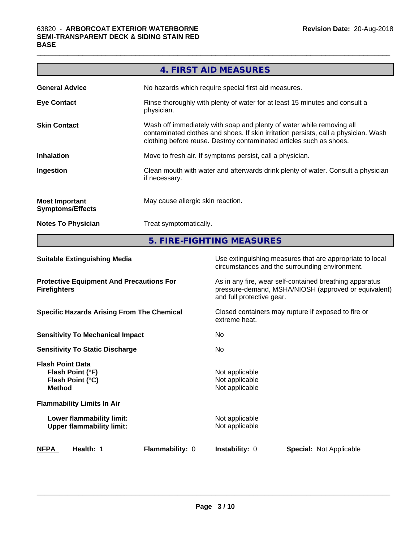|                                                  | 4. FIRST AID MEASURES                                                                                                                                                                                                               |
|--------------------------------------------------|-------------------------------------------------------------------------------------------------------------------------------------------------------------------------------------------------------------------------------------|
| <b>General Advice</b>                            | No hazards which require special first aid measures.                                                                                                                                                                                |
| <b>Eye Contact</b>                               | Rinse thoroughly with plenty of water for at least 15 minutes and consult a<br>physician.                                                                                                                                           |
| <b>Skin Contact</b>                              | Wash off immediately with soap and plenty of water while removing all<br>contaminated clothes and shoes. If skin irritation persists, call a physician. Wash<br>clothing before reuse. Destroy contaminated articles such as shoes. |
| <b>Inhalation</b>                                | Move to fresh air. If symptoms persist, call a physician.                                                                                                                                                                           |
| Ingestion                                        | Clean mouth with water and afterwards drink plenty of water. Consult a physician<br>if necessary.                                                                                                                                   |
| <b>Most Important</b><br><b>Symptoms/Effects</b> | May cause allergic skin reaction.                                                                                                                                                                                                   |
| <b>Notes To Physician</b>                        | Treat symptomatically.                                                                                                                                                                                                              |
|                                                  |                                                                                                                                                                                                                                     |

**5. FIRE-FIGHTING MEASURES**

| Use extinguishing measures that are appropriate to local<br>circumstances and the surrounding environment.                                   |
|----------------------------------------------------------------------------------------------------------------------------------------------|
| As in any fire, wear self-contained breathing apparatus<br>pressure-demand, MSHA/NIOSH (approved or equivalent)<br>and full protective gear. |
| Closed containers may rupture if exposed to fire or<br>extreme heat.                                                                         |
| No.                                                                                                                                          |
| No                                                                                                                                           |
| Not applicable<br>Not applicable<br>Not applicable                                                                                           |
|                                                                                                                                              |
| Not applicable<br>Not applicable                                                                                                             |
| <b>Instability: 0</b><br><b>Special: Not Applicable</b>                                                                                      |
|                                                                                                                                              |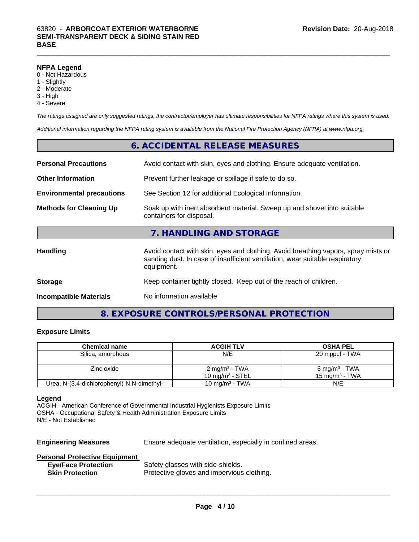# **NFPA Legend**

- 0 Not Hazardous
- 1 Slightly
- 2 Moderate
- 3 High
- 4 Severe

*The ratings assigned are only suggested ratings, the contractor/employer has ultimate responsibilities for NFPA ratings where this system is used.*

*Additional information regarding the NFPA rating system is available from the National Fire Protection Agency (NFPA) at www.nfpa.org.*

|                                  | 6. ACCIDENTAL RELEASE MEASURES                                                                                                                                                   |
|----------------------------------|----------------------------------------------------------------------------------------------------------------------------------------------------------------------------------|
| <b>Personal Precautions</b>      | Avoid contact with skin, eyes and clothing. Ensure adequate ventilation.                                                                                                         |
| <b>Other Information</b>         | Prevent further leakage or spillage if safe to do so.                                                                                                                            |
| <b>Environmental precautions</b> | See Section 12 for additional Ecological Information.                                                                                                                            |
| <b>Methods for Cleaning Up</b>   | Soak up with inert absorbent material. Sweep up and shovel into suitable<br>containers for disposal.                                                                             |
|                                  | 7. HANDLING AND STORAGE                                                                                                                                                          |
| Handling                         | Avoid contact with skin, eyes and clothing. Avoid breathing vapors, spray mists or<br>sanding dust. In case of insufficient ventilation, wear suitable respiratory<br>equipment. |
| <b>Storage</b>                   | Keep container tightly closed. Keep out of the reach of children.                                                                                                                |
| <b>Incompatible Materials</b>    | No information available                                                                                                                                                         |

# **8. EXPOSURE CONTROLS/PERSONAL PROTECTION**

# **Exposure Limits**

| <b>Chemical name</b>                       | <b>ACGIH TLV</b>         | <b>OSHA PEL</b>          |
|--------------------------------------------|--------------------------|--------------------------|
| Silica, amorphous                          | N/E                      | 20 mppcf - TWA           |
|                                            |                          |                          |
| Zinc oxide                                 | $2 \text{ mg/m}^3$ - TWA | $5 \text{ mg/m}^3$ - TWA |
|                                            | 10 mg/m $3$ - STEL       | 15 mg/m $3$ - TWA        |
| Urea, N-(3,4-dichlorophenyl)-N,N-dimethyl- | 10 mg/m $3$ - TWA        | N/E                      |

#### **Legend**

ACGIH - American Conference of Governmental Industrial Hygienists Exposure Limits OSHA - Occupational Safety & Health Administration Exposure Limits N/E - Not Established

**Engineering Measures** Ensure adequate ventilation, especially in confined areas.

 $\overline{\phantom{a}}$  ,  $\overline{\phantom{a}}$  ,  $\overline{\phantom{a}}$  ,  $\overline{\phantom{a}}$  ,  $\overline{\phantom{a}}$  ,  $\overline{\phantom{a}}$  ,  $\overline{\phantom{a}}$  ,  $\overline{\phantom{a}}$  ,  $\overline{\phantom{a}}$  ,  $\overline{\phantom{a}}$  ,  $\overline{\phantom{a}}$  ,  $\overline{\phantom{a}}$  ,  $\overline{\phantom{a}}$  ,  $\overline{\phantom{a}}$  ,  $\overline{\phantom{a}}$  ,  $\overline{\phantom{a}}$ 

#### **Personal Protective Equipment**

| <b>Eye/Face Protection</b> | Safety glasses with side-shields.          |
|----------------------------|--------------------------------------------|
| <b>Skin Protection</b>     | Protective gloves and impervious clothing. |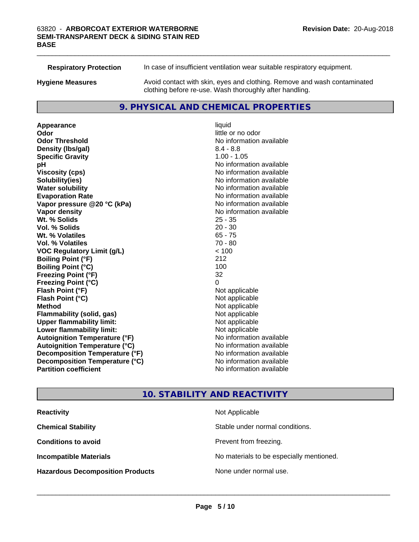**Respiratory Protection** In case of insufficient ventilation wear suitable respiratory equipment. **Hygiene Measures** Avoid contact with skin, eyes and clothing. Remove and wash contaminated clothing before re-use. Wash thoroughly after handling.

# **9. PHYSICAL AND CHEMICAL PROPERTIES**

**Appearance** liquid **Odor** little or no odor **Odor Threshold** No information available **Density (lbs/gal)** 8.4 - 8.8 **Specific Gravity** 1.00 - 1.05 **pH**  $\blacksquare$ **Viscosity (cps)** No information available **Solubility(ies)** No information available **Water solubility** No information available **Evaporation Rate Evaporation Rate No information available Vapor pressure @20 °C (kPa)** No information available **Vapor density No information available No information available Wt. % Solids** 25 - 35<br> **Vol. % Solids** 20 - 30 **Vol. % Solids Wt. % Volatiles** 65 - 75 **Vol. % Volatiles** 70 - 80 **VOC Regulatory Limit (g/L)** < 100 **Boiling Point (°F)** 212 **Boiling Point**  $(^{\circ}C)$  100 **Freezing Point (°F)** 32 **Freezing Point (°C)** 0 **Flash Point (°F)** Not applicable **Flash Point (°C)** Not applicable **Method** Not applicable **Flammability (solid, gas)** Not applicable **Upper flammability limit:** Not applicable **Lower flammability limit:** Not applicable **Autoignition Temperature (°F)** No information available **Autoignition Temperature (°C)** No information available **Decomposition Temperature (°F)** No information available **Decomposition Temperature (°C)**<br> **Partition coefficient**<br> **Partition coefficient**<br> **No** information available

**No information available** 

 $\_$  ,  $\_$  ,  $\_$  ,  $\_$  ,  $\_$  ,  $\_$  ,  $\_$  ,  $\_$  ,  $\_$  ,  $\_$  ,  $\_$  ,  $\_$  ,  $\_$  ,  $\_$  ,  $\_$  ,  $\_$  ,  $\_$  ,  $\_$  ,  $\_$  ,  $\_$  ,  $\_$  ,  $\_$  ,  $\_$  ,  $\_$  ,  $\_$  ,  $\_$  ,  $\_$  ,  $\_$  ,  $\_$  ,  $\_$  ,  $\_$  ,  $\_$  ,  $\_$  ,  $\_$  ,  $\_$  ,  $\_$  ,  $\_$  ,

# **10. STABILITY AND REACTIVITY**

| <b>Reactivity</b>                       | Not Applicable                           |
|-----------------------------------------|------------------------------------------|
| <b>Chemical Stability</b>               | Stable under normal conditions.          |
| <b>Conditions to avoid</b>              | Prevent from freezing.                   |
| <b>Incompatible Materials</b>           | No materials to be especially mentioned. |
| <b>Hazardous Decomposition Products</b> | None under normal use.                   |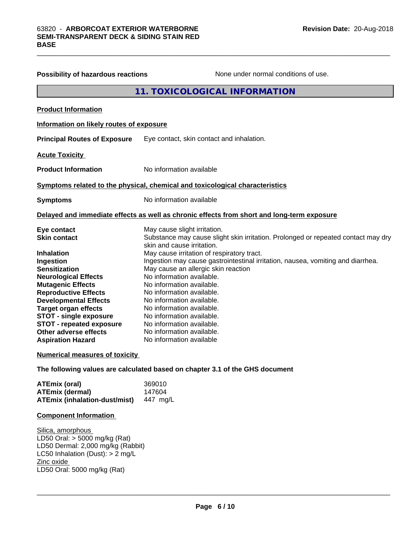| <b>Possibility of hazardous reactions</b> | None under normal conditions of use.                                                       |
|-------------------------------------------|--------------------------------------------------------------------------------------------|
|                                           | 11. TOXICOLOGICAL INFORMATION                                                              |
| <b>Product Information</b>                |                                                                                            |
| Information on likely routes of exposure  |                                                                                            |
| <b>Principal Routes of Exposure</b>       | Eye contact, skin contact and inhalation.                                                  |
| <b>Acute Toxicity</b>                     |                                                                                            |
| <b>Product Information</b>                | No information available                                                                   |
|                                           | Symptoms related to the physical, chemical and toxicological characteristics               |
| <b>Symptoms</b>                           | No information available                                                                   |
|                                           | Delayed and immediate effects as well as chronic effects from short and long-term exposure |
| Eye contact                               | May cause slight irritation.                                                               |
| <b>Skin contact</b>                       | Substance may cause slight skin irritation. Prolonged or repeated contact may dry          |
| <b>Inhalation</b>                         | skin and cause irritation.<br>May cause irritation of respiratory tract.                   |
| Ingestion                                 | Ingestion may cause gastrointestinal irritation, nausea, vomiting and diarrhea.            |
| <b>Sensitization</b>                      | May cause an allergic skin reaction                                                        |
| <b>Neurological Effects</b>               | No information available.                                                                  |
| <b>Mutagenic Effects</b>                  | No information available.                                                                  |
| <b>Reproductive Effects</b>               | No information available.                                                                  |
| <b>Developmental Effects</b>              | No information available.                                                                  |
| <b>Target organ effects</b>               | No information available.                                                                  |
| <b>STOT - single exposure</b>             | No information available.                                                                  |
| <b>STOT - repeated exposure</b>           | No information available.                                                                  |
| Other adverse effects                     | No information available.                                                                  |
| <b>Aspiration Hazard</b>                  | No information available                                                                   |
| Numerical measures of toxicity            |                                                                                            |
|                                           | The following values are calculated based on chapter 3.1 of the GHS document               |

| <b>ATEmix (oral)</b>          | 369010   |
|-------------------------------|----------|
| <b>ATEmix (dermal)</b>        | 147604   |
| ATEmix (inhalation-dust/mist) | 447 ma/L |

# **Component Information**

Silica, amorphous LD50 Oral: > 5000 mg/kg (Rat) LD50 Dermal: 2,000 mg/kg (Rabbit) LC50 Inhalation (Dust): > 2 mg/L Zinc oxide LD50 Oral: 5000 mg/kg (Rat)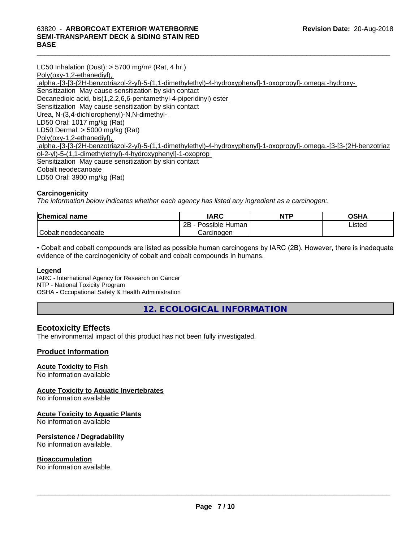#### $\_$  ,  $\_$  ,  $\_$  ,  $\_$  ,  $\_$  ,  $\_$  ,  $\_$  ,  $\_$  ,  $\_$  ,  $\_$  ,  $\_$  ,  $\_$  ,  $\_$  ,  $\_$  ,  $\_$  ,  $\_$  ,  $\_$  ,  $\_$  ,  $\_$  ,  $\_$  ,  $\_$  ,  $\_$  ,  $\_$  ,  $\_$  ,  $\_$  ,  $\_$  ,  $\_$  ,  $\_$  ,  $\_$  ,  $\_$  ,  $\_$  ,  $\_$  ,  $\_$  ,  $\_$  ,  $\_$  ,  $\_$  ,  $\_$  , 63820 - **ARBORCOAT EXTERIOR WATERBORNE SEMI-TRANSPARENT DECK & SIDING STAIN RED BASE**

LC50 Inhalation (Dust):  $> 5700$  mg/m<sup>3</sup> (Rat, 4 hr.) Poly(oxy-1,2-ethanediyl), .alpha.-[3-[3-(2H-benzotriazol-2-yl)-5-(1,1-dimethylethyl)-4-hydroxyphenyl]-1-oxopropyl]-.omega.-hydroxy- Sensitization May cause sensitization by skin contact Decanedioic acid, bis(1,2,2,6,6-pentamethyl-4-piperidinyl) ester Sensitization May cause sensitization by skin contact Urea, N-(3,4-dichlorophenyl)-N,N-dimethyl- LD50 Oral: 1017 mg/kg (Rat) LD50 Dermal: > 5000 mg/kg (Rat) Poly(oxy-1,2-ethanediyl), .alpha.-[3-[3-(2H-benzotriazol-2-yl)-5-(1,1-dimethylethyl)-4-hydroxyphenyl]-1-oxopropyl]-.omega.-[3-[3-(2H-benzotriaz ol-2-yl)-5-(1,1-dimethylethyl)-4-hydroxyphenyl]-1-oxoprop Sensitization May cause sensitization by skin contact Cobalt neodecanoate LD50 Oral: 3900 mg/kg (Rat)

# **Carcinogenicity**

*The information below indicateswhether each agency has listed any ingredient as a carcinogen:.*

| <b>Chemical name</b> | <b>IARC</b>                 | <b>NTP</b> | <b>OSHA</b> |
|----------------------|-----------------------------|------------|-------------|
|                      | . .<br>2B<br>Possible Human |            | Listed      |
| Cobalt neodecanoate  | Carcinogen                  |            |             |

• Cobalt and cobalt compounds are listed as possible human carcinogens by IARC (2B). However, there is inadequate evidence of the carcinogenicity of cobalt and cobalt compounds in humans.

# **Legend**

IARC - International Agency for Research on Cancer NTP - National Toxicity Program OSHA - Occupational Safety & Health Administration

**12. ECOLOGICAL INFORMATION**

# **Ecotoxicity Effects**

The environmental impact of this product has not been fully investigated.

# **Product Information**

# **Acute Toxicity to Fish**

No information available

# **Acute Toxicity to Aquatic Invertebrates**

No information available

# **Acute Toxicity to Aquatic Plants**

No information available

# **Persistence / Degradability**

No information available.

# **Bioaccumulation**

No information available.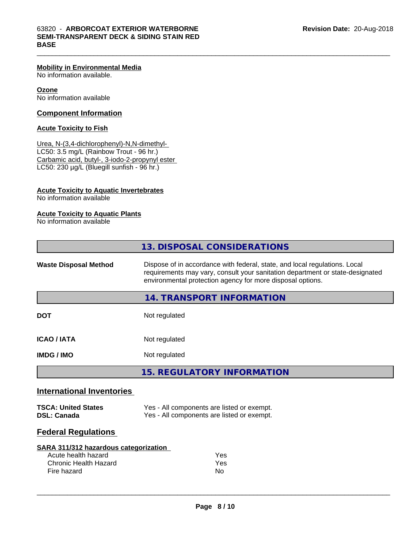# **Mobility in Environmental Media**

No information available.

**Ozone** No information available

# **Component Information**

# **Acute Toxicity to Fish**

Urea, N-(3,4-dichlorophenyl)-N,N-dimethyl- LC50: 3.5 mg/L (Rainbow Trout - 96 hr.) Carbamic acid, butyl-, 3-iodo-2-propynyl ester LC50: 230 µg/L (Bluegill sunfish - 96 hr.)

# **Acute Toxicity to Aquatic Invertebrates**

No information available

#### **Acute Toxicity to Aquatic Plants**

No information available

|                                                  | 13. DISPOSAL CONSIDERATIONS                                                                                                                                                                                               |
|--------------------------------------------------|---------------------------------------------------------------------------------------------------------------------------------------------------------------------------------------------------------------------------|
| <b>Waste Disposal Method</b>                     | Dispose of in accordance with federal, state, and local regulations. Local<br>requirements may vary, consult your sanitation department or state-designated<br>environmental protection agency for more disposal options. |
|                                                  | 14. TRANSPORT INFORMATION                                                                                                                                                                                                 |
| <b>DOT</b>                                       | Not regulated                                                                                                                                                                                                             |
| <b>ICAO/IATA</b>                                 | Not regulated                                                                                                                                                                                                             |
| <b>IMDG / IMO</b>                                | Not regulated                                                                                                                                                                                                             |
|                                                  | <b>15. REGULATORY INFORMATION</b>                                                                                                                                                                                         |
| <b>International Inventories</b>                 |                                                                                                                                                                                                                           |
| <b>TSCA: United States</b><br><b>DSL: Canada</b> | Yes - All components are listed or exempt.<br>Yes - All components are listed or exempt.                                                                                                                                  |
| <b>Federal Regulations</b>                       |                                                                                                                                                                                                                           |
| SARA 311/312 hazardous categorization            |                                                                                                                                                                                                                           |
| Acute health hazard                              | Yes                                                                                                                                                                                                                       |
| <b>Chronic Health Hazard</b>                     | Yes                                                                                                                                                                                                                       |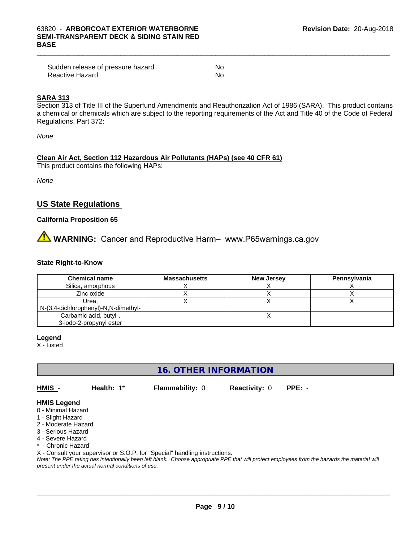| Sudden release of pressure hazard | No |
|-----------------------------------|----|
| Reactive Hazard                   | No |

# **SARA 313**

Section 313 of Title III of the Superfund Amendments and Reauthorization Act of 1986 (SARA). This product contains a chemical or chemicals which are subject to the reporting requirements of the Act and Title 40 of the Code of Federal Regulations, Part 372:

*None*

# **Clean Air Act,Section 112 Hazardous Air Pollutants (HAPs) (see 40 CFR 61)**

This product contains the following HAPs:

*None*

# **US State Regulations**

# **California Proposition 65**

**AVIMARNING:** Cancer and Reproductive Harm– www.P65warnings.ca.gov

# **State Right-to-Know**

| <b>Chemical name</b>                 | <b>Massachusetts</b> | <b>New Jersey</b> | Pennsylvania |
|--------------------------------------|----------------------|-------------------|--------------|
| Silica, amorphous                    |                      |                   |              |
| Zinc oxide                           |                      |                   |              |
| Urea,                                |                      |                   |              |
| N-(3,4-dichlorophenyl)-N,N-dimethyl- |                      |                   |              |
| Carbamic acid, butyl-,               |                      |                   |              |
| 3-iodo-2-propynyl ester              |                      |                   |              |

**Legend**

X - Listed

# **16. OTHER INFORMATION**

**HMIS** - **Health:** 1\* **Flammability:** 0 **Reactivity:** 0 **PPE:** -

# **HMIS Legend**

- 0 Minimal Hazard
- 1 Slight Hazard
- 2 Moderate Hazard
- 3 Serious Hazard
- 4 Severe Hazard
- \* Chronic Hazard

X - Consult your supervisor or S.O.P. for "Special" handling instructions.

*Note: The PPE rating has intentionally been left blank. Choose appropriate PPE that will protect employees from the hazards the material will present under the actual normal conditions of use.*